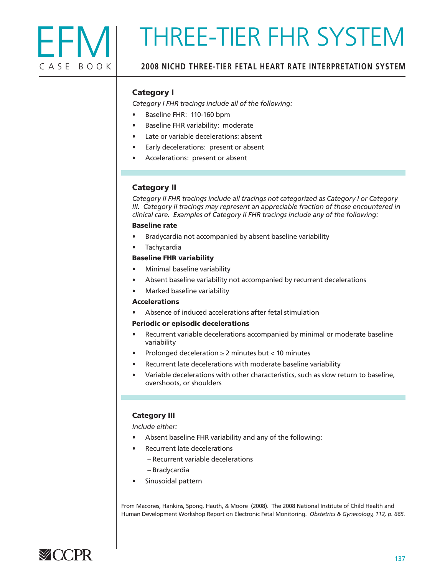

# THREE-TIER FHR SYSTEM

### **2008 NICHD THREE-TIER FETAL HEART RATE INTERPRETATION SYSTEM**

### Category I

*Category I FHR tracings include all of the following:*

- Baseline FHR: 110-160 bpm
- Baseline FHR variability: moderate
- Late or variable decelerations: absent
- Early decelerations: present or absent
- Accelerations: present or absent

#### Category II

*Category II FHR tracings include all tracings not categorized as Category I or Category III. Category II tracings may represent an appreciable fraction of those encountered in clinical care. Examples of Category II FHR tracings include any of the following:*

#### Baseline rate

- Bradycardia not accompanied by absent baseline variability
- **Tachycardia**

#### Baseline FHR variability

- Minimal baseline variability
- Absent baseline variability not accompanied by recurrent decelerations
- Marked baseline variability

#### Accelerations

Absence of induced accelerations after fetal stimulation

#### Periodic or episodic decelerations

- Recurrent variable decelerations accompanied by minimal or moderate baseline variability
- Prolonged deceleration  $\geq 2$  minutes but < 10 minutes
- Recurrent late decelerations with moderate baseline variability
- Variable decelerations with other characteristics, such as slow return to baseline, overshoots, or shoulders

#### Category III

*Include either:*

- Absent baseline FHR variability and any of the following:
- **Recurrent late decelerations** 
	- Recurrent variable decelerations
	- Bradycardia
- Sinusoidal pattern

From Macones, Hankins, Spong, Hauth, & Moore (2008). The 2008 National Institute of Child Health and Human Development Workshop Report on Electronic Fetal Monitoring. *Obstetrics & Gynecology, 112, p. 665.*

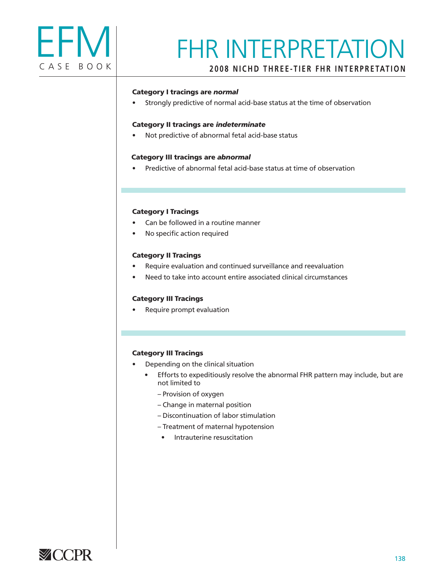

# FHR INTERPRETATION

**2008 NICHD THREE-TIER FHR INTERPRETATION**

#### Category I tracings are *normal*

• Strongly predictive of normal acid-base status at the time of observation

#### Category II tracings are *indeterminate*

• Not predictive of abnormal fetal acid-base status

#### Category III tracings are *abnormal*

Predictive of abnormal fetal acid-base status at time of observation

#### Category I Tracings

- Can be followed in a routine manner
- No specific action required

#### Category II Tracings

- Require evaluation and continued surveillance and reevaluation
- Need to take into account entire associated clinical circumstances

#### Category III Tracings

Require prompt evaluation

#### Category III Tracings

- Depending on the clinical situation
	- Efforts to expeditiously resolve the abnormal FHR pattern may include, but are not limited to
		- Provision of oxygen
		- Change in maternal position
		- Discontinuation of labor stimulation
		- Treatment of maternal hypotension
			- • Intrauterine resuscitation

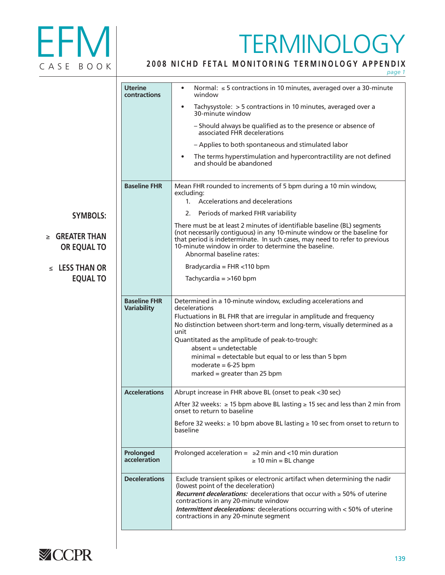

# **TERMINOLOGY**

## **2008 NICHD FETAL MONITORING TERMINOLOGY APPENDIX**

*page 1*

|                                    | <b>Uterine</b><br>contractions            | Normal: ≤ 5 contractions in 10 minutes, averaged over a 30-minute<br>window<br>Tachysystole: > 5 contractions in 10 minutes, averaged over a<br>30-minute window<br>- Should always be qualified as to the presence or absence of<br>associated FHR decelerations<br>- Applies to both spontaneous and stimulated labor<br>The terms hyperstimulation and hypercontractility are not defined<br>$\bullet$<br>and should be abandoned       |
|------------------------------------|-------------------------------------------|--------------------------------------------------------------------------------------------------------------------------------------------------------------------------------------------------------------------------------------------------------------------------------------------------------------------------------------------------------------------------------------------------------------------------------------------|
|                                    | <b>Baseline FHR</b>                       | Mean FHR rounded to increments of 5 bpm during a 10 min window,<br>excluding:                                                                                                                                                                                                                                                                                                                                                              |
|                                    |                                           | 1. Accelerations and decelerations                                                                                                                                                                                                                                                                                                                                                                                                         |
| <b>SYMBOLS:</b>                    |                                           | Periods of marked FHR variability<br>2.                                                                                                                                                                                                                                                                                                                                                                                                    |
|                                    |                                           |                                                                                                                                                                                                                                                                                                                                                                                                                                            |
| $\geq$ GREATER THAN<br>OR EQUAL TO |                                           | There must be at least 2 minutes of identifiable baseline (BL) segments<br>(not necessarily contiguous) in any 10-minute window or the baseline for<br>that period is indeterminate. In such cases, may need to refer to previous<br>10-minute window in order to determine the baseline.<br>Abnormal baseline rates:                                                                                                                      |
| $\leq$ LESS THAN OR                |                                           | Bradycardia = FHR <110 bpm                                                                                                                                                                                                                                                                                                                                                                                                                 |
| <b>EQUAL TO</b>                    |                                           | Tachycardia = >160 bpm                                                                                                                                                                                                                                                                                                                                                                                                                     |
|                                    |                                           |                                                                                                                                                                                                                                                                                                                                                                                                                                            |
|                                    | <b>Baseline FHR</b><br><b>Variability</b> | Determined in a 10-minute window, excluding accelerations and<br>decelerations<br>Fluctuations in BL FHR that are irregular in amplitude and frequency<br>No distinction between short-term and long-term, visually determined as a<br>unit<br>Quantitated as the amplitude of peak-to-trough:<br>absent = undetectable<br>minimal = detectable but equal to or less than 5 bpm<br>moderate = $6-25$ bpm<br>$marked = greater than 25 bpm$ |
|                                    | <b>Accelerations</b>                      | Abrupt increase in FHR above BL (onset to peak <30 sec)                                                                                                                                                                                                                                                                                                                                                                                    |
|                                    |                                           | After 32 weeks: $\geq$ 15 bpm above BL lasting $\geq$ 15 sec and less than 2 min from<br>onset to return to baseline<br>Before 32 weeks: $\geq 10$ bpm above BL lasting $\geq 10$ sec from onset to return to<br>baseline                                                                                                                                                                                                                  |
|                                    | Prolonged                                 | Prolonged acceleration = $\geq 2$ min and <10 min duration                                                                                                                                                                                                                                                                                                                                                                                 |
|                                    | acceleration                              | $\geq 10$ min = BL change                                                                                                                                                                                                                                                                                                                                                                                                                  |
|                                    | <b>Decelerations</b>                      | Exclude transient spikes or electronic artifact when determining the nadir<br>(lowest point of the deceleration)<br>Recurrent decelerations: decelerations that occur with $\geq 50\%$ of uterine<br>contractions in any 20-minute window<br>Intermittent decelerations: decelerations occurring with < 50% of uterine<br>contractions in any 20-minute segment                                                                            |



 $\overline{\phantom{a}}$